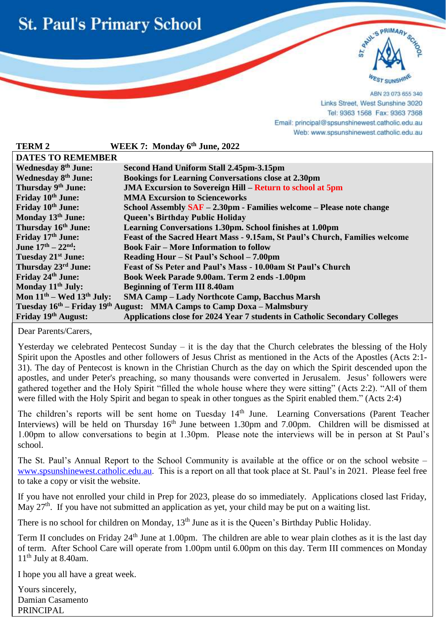



ABN 23 073 655 340 Links Street, West Sunshine 3020 Tel: 9363 1568 Fax: 9363 7368 Email: principal@spsunshinewest.catholic.edu.au Web: www.spsunshinewest.catholic.edu.au

| <b>TERM2</b>                                                                                  | WEEK 7: Monday 6th June, 2022                                               |  |
|-----------------------------------------------------------------------------------------------|-----------------------------------------------------------------------------|--|
| <b>DATES TO REMEMBER</b>                                                                      |                                                                             |  |
| <b>Wednesday 8th June:</b>                                                                    | Second Hand Uniform Stall 2.45pm-3.15pm                                     |  |
| <b>Wednesday 8th June:</b>                                                                    | <b>Bookings for Learning Conversations close at 2.30pm</b>                  |  |
| Thursday 9th June:                                                                            | <b>JMA Excursion to Sovereign Hill – Return to school at 5pm</b>            |  |
| Friday 10 <sup>th</sup> June:                                                                 | <b>MMA Excursion to Scienceworks</b>                                        |  |
| Friday 10 <sup>th</sup> June:                                                                 | School Assembly SAF - 2.30pm - Families welcome - Please note change        |  |
| Monday 13th June:                                                                             | <b>Queen's Birthday Public Holiday</b>                                      |  |
| Thursday 16th June:                                                                           | Learning Conversations 1.30pm. School finishes at 1.00pm                    |  |
| Friday 17th June:                                                                             | Feast of the Sacred Heart Mass - 9.15am, St Paul's Church, Families welcome |  |
| June $17^{th} - 22^{nd}$ :                                                                    | <b>Book Fair – More Information to follow</b>                               |  |
| Tuesday 21 <sup>st</sup> June:                                                                | Reading Hour – St Paul's School – 7.00pm                                    |  |
| Thursday 23 <sup>rd</sup> June:                                                               | Feast of Ss Peter and Paul's Mass - 10.00am St Paul's Church                |  |
| Friday 24th June:                                                                             | Book Week Parade 9.00am. Term 2 ends -1.00pm                                |  |
| Monday 11 <sup>th</sup> July:                                                                 | <b>Beginning of Term III 8.40am</b>                                         |  |
| Mon $11th$ – Wed $13th$ July:                                                                 | <b>SMA Camp - Lady Northcote Camp, Bacchus Marsh</b>                        |  |
| Tuesday 16 <sup>th</sup> – Friday 19 <sup>th</sup> August: MMA Camps to Camp Doxa – Malmsbury |                                                                             |  |
| Friday 19th August:                                                                           | Applications close for 2024 Year 7 students in Catholic Secondary Colleges  |  |

Dear Parents/Carers,

l

Yesterday we celebrated Pentecost Sunday – it is the day that the Church celebrates the blessing of the [Holy](https://www.crosswalk.com/faith/spiritual-life/10-supernatural-ways-the-holy-spirit-wants-to-empower-you.html)  [Spirit](https://www.crosswalk.com/faith/spiritual-life/10-supernatural-ways-the-holy-spirit-wants-to-empower-you.html) upon the Apostles and other followers of Jesus Christ as mentioned in the Acts of the Apostles [\(Acts 2:1-](https://www.biblestudytools.com/acts/passage/?q=acts+2:1-31) [31\)](https://www.biblestudytools.com/acts/passage/?q=acts+2:1-31). The day of Pentecost is known in the Christian Church as the day on which the Spirit descended upon the apostles, and under Peter's preaching, so many thousands were converted in Jerusalem. Jesus' followers were gathered together and the Holy Spirit "filled the whole house where they were sitting" [\(Acts 2:2\)](https://www.biblestudytools.com/acts/2-2.html). "All of them were filled with the Holy Spirit and began to speak in other tongues as the Spirit enabled them." (Acts 2:4)

The children's reports will be sent home on Tuesday 14<sup>th</sup> June. Learning Conversations (Parent Teacher Interviews) will be held on Thursday 16<sup>th</sup> June between 1.30pm and 7.00pm. Children will be dismissed at 1.00pm to allow conversations to begin at 1.30pm. Please note the interviews will be in person at St Paul's school.

The St. Paul's Annual Report to the School Community is available at the office or on the school website – [www.spsunshinewest.catholic.edu.au.](http://www.spsunshinewest.catholic.edu.au/) This is a report on all that took place at St. Paul's in 2021. Please feel free to take a copy or visit the website.

If you have not enrolled your child in Prep for 2023, please do so immediately. Applications closed last Friday, May  $27<sup>th</sup>$ . If you have not submitted an application as yet, your child may be put on a waiting list.

There is no school for children on Monday, 13<sup>th</sup> June as it is the Queen's Birthday Public Holiday.

Term II concludes on Friday 24<sup>th</sup> June at 1.00pm. The children are able to wear plain clothes as it is the last day of term. After School Care will operate from 1.00pm until 6.00pm on this day. Term III commences on Monday 11<sup>th</sup> July at 8.40am.

I hope you all have a great week.

Yours sincerely, Damian Casamento PRINCIPAL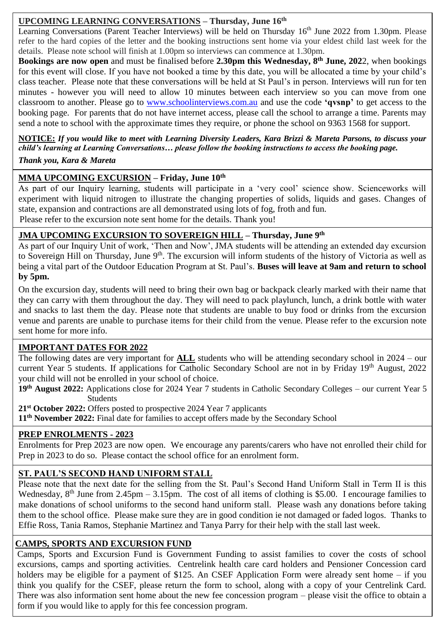### **UPCOMING LEARNING CONVERSATIONS – Thursday, June 16th**

Learning Conversations (Parent Teacher Interviews) will be held on Thursday 16<sup>th</sup> June 2022 from 1.30pm. Please refer to the hard copies of the letter and the booking instructions sent home via your eldest child last week for the details. Please note school will finish at 1.00pm so interviews can commence at 1.30pm.

**Bookings are now open** and must be finalised before **2.30pm this Wednesday, 8 th June, 202**2, when bookings for this event will close. If you have not booked a time by this date, you will be allocated a time by your child's class teacher. Please note that these conversations will be held at St Paul's in person. Interviews will run for ten minutes - however you will need to allow 10 minutes between each interview so you can move from one classroom to another. Please go to [www.schoolinterviews.com.au](http://www.schoolinterviews.com.au/) and use the code **'qvsnp'** to get access to the booking page. For parents that do not have internet access, please call the school to arrange a time. Parents may send a note to school with the approximate times they require, or phone the school on 9363 1568 for support.

**NOTICE:** *If you would like to meet with Learning Diversity Leaders, Kara Brizzi & Mareta Parsons, to discuss your child's learning at Learning Conversations… please follow the booking instructions to access the booking page.*

#### *Thank you, Kara & Mareta*

#### **MMA UPCOMING EXCURSION – Friday, June 10th**

As part of our Inquiry learning, students will participate in a 'very cool' science show. Scienceworks will experiment with liquid nitrogen to illustrate the changing properties of solids, liquids and gases. Changes of state, expansion and contractions are all demonstrated using lots of fog, froth and fun. Please refer to the excursion note sent home for the details. Thank you!

#### **JMA UPCOMING EXCURSION TO SOVEREIGN HILL – Thursday, June 9th**

to Sovereign Hill on Thursday, June 9<sup>th</sup>. The excursion will inform students of the history of Victoria as well as As part of our Inquiry Unit of work, 'Then and Now', JMA students will be attending an extended day excursion being a vital part of the Outdoor Education Program at St. Paul's. **Buses will leave at 9am and return to school by 5pm.**

 venue and parents are unable to purchase items for their child from the venue. Please refer to the excursion note On the excursion day, students will need to bring their own bag or backpack clearly marked with their name that they can carry with them throughout the day. They will need to pack playlunch, lunch, a drink bottle with water and snacks to last them the day. Please note that students are unable to buy food or drinks from the excursion sent home for more info.

#### **IMPORTANT DATES FOR 2022**

The following dates are very important for **ALL** students who will be attending secondary school in 2024 – our current Year 5 students. If applications for Catholic Secondary School are not in by Friday 19<sup>th</sup> August, 2022 your child will not be enrolled in your school of choice.

**19th August 2022:** Applications close for 2024 Year 7 students in Catholic Secondary Colleges – our current Year 5 **Students** 

**21st October 2022:** Offers posted to prospective 2024 Year 7 applicants

**11th November 2022:** Final date for families to accept offers made by the Secondary School

#### **PREP ENROLMENTS - 2023**

Enrolments for Prep 2023 are now open. We encourage any parents/carers who have not enrolled their child for Prep in 2023 to do so. Please contact the school office for an enrolment form.

#### **ST. PAUL'S SECOND HAND UNIFORM STALL**

Please note that the next date for the selling from the St. Paul's Second Hand Uniform Stall in Term II is this Wednesday,  $8<sup>th</sup>$  June from 2.45pm – 3.15pm. The cost of all items of clothing is \$5.00. I encourage families to make donations of school uniforms to the second hand uniform stall. Please wash any donations before taking them to the school office. Please make sure they are in good condition ie not damaged or faded logos. Thanks to Effie Ross, Tania Ramos, Stephanie Martinez and Tanya Parry for their help with the stall last week.

#### **CAMPS, SPORTS AND EXCURSION FUND**

Camps, Sports and Excursion Fund is Government Funding to assist families to cover the costs of school excursions, camps and sporting activities. Centrelink health care card holders and Pensioner Concession card holders may be eligible for a payment of \$125. An CSEF Application Form were already sent home – if you think you qualify for the CSEF, please return the form to school, along with a copy of your Centrelink Card. There was also information sent home about the new fee concession program – please visit the office to obtain a form if you would like to apply for this fee concession program.